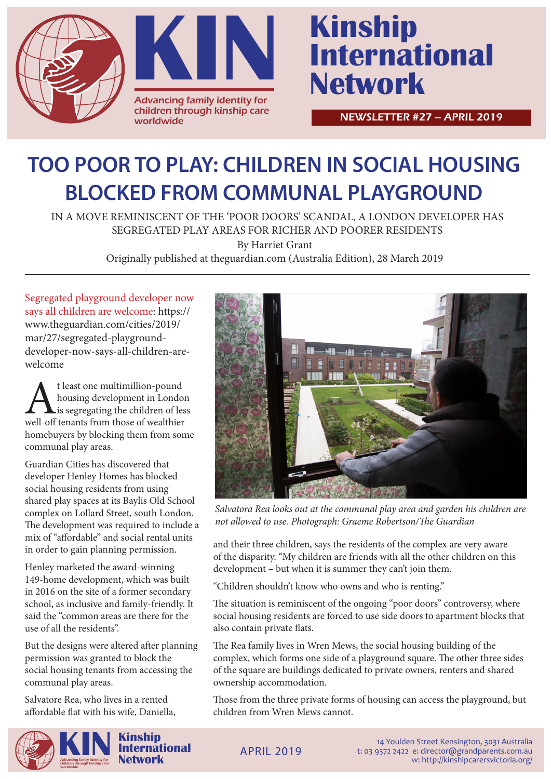



## **KIN Kinship International Network**

NEWSLETTER #27 – APRIL 2019

## **TOO POOR TO PLAY: CHILDREN IN SOCIAL HOUSING BLOCKED FROM COMMUNAL PLAYGROUND**

IN A MOVE REMINISCENT OF THE 'POOR DOORS' SCANDAL, A LONDON DEVELOPER HAS SEGREGATED PLAY AREAS FOR RICHER AND POORER RESIDENTS

By Harriet Grant

Originally published at theguardian.com (Australia Edition), 28 March 2019

Segregated playground developer now says all children are welcome: https:// www.theguardian.com/cities/2019/ mar/27/segregated-playgrounddeveloper-now-says-all-children-arewelcome

At least one multimillion-pound<br>housing development in Londor<br>well-off tenants from those of wealthier housing development in London Lis segregating the children of less homebuyers by blocking them from some communal play areas.

Guardian Cities has discovered that developer Henley Homes has blocked social housing residents from using shared play spaces at its Baylis Old School complex on Lollard Street, south London. The development was required to include a mix of "affordable" and social rental units in order to gain planning permission.

Henley marketed the award-winning 149-home development, which was built in 2016 on the site of a former secondary school, as inclusive and family-friendly. It said the "common areas are there for the use of all the residents".

But the designs were altered after planning permission was granted to block the social housing tenants from accessing the communal play areas.

Salvatore Rea, who lives in a rented affordable flat with his wife, Daniella,





*Salvatora Rea looks out at the communal play area and garden his children are not allowed to use. Photograph: Graeme Robertson/The Guardian*

and their three children, says the residents of the complex are very aware of the disparity. "My children are friends with all the other children on this development – but when it is summer they can't join them.

"Children shouldn't know who owns and who is renting."

The situation is reminiscent of the ongoing "poor doors" controversy, where social housing residents are forced to use side doors to apartment blocks that also contain private flats.

The Rea family lives in Wren Mews, the social housing building of the complex, which forms one side of a playground square. The other three sides of the square are buildings dedicated to private owners, renters and shared ownership accommodation.

Those from the three private forms of housing can access the playground, but children from Wren Mews cannot.

APRIL 2019

14 Youlden Street Kensington, 3031 Australia t: 03 9372 2422 e: director@grandparents.com.au w: http://kinshipcarersvictoria.org/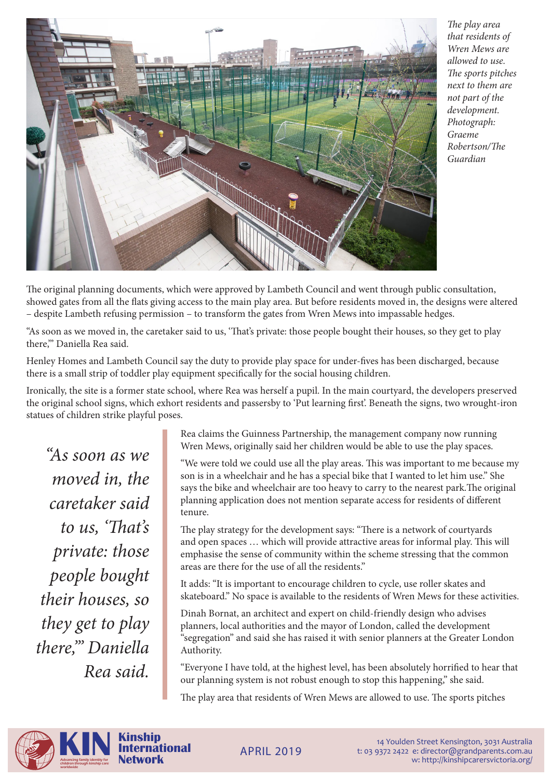

*The play area that residents of Wren Mews are allowed to use. The sports pitches next to them are not part of the development. Photograph: Graeme Robertson/The Guardian*

The original planning documents, which were approved by Lambeth Council and went through public consultation, showed gates from all the flats giving access to the main play area. But before residents moved in, the designs were altered – despite Lambeth refusing permission – to transform the gates from Wren Mews into impassable hedges.

"As soon as we moved in, the caretaker said to us, 'That's private: those people bought their houses, so they get to play there,'" Daniella Rea said.

Henley Homes and Lambeth Council say the duty to provide play space for under-fives has been discharged, because there is a small strip of toddler play equipment specifically for the social housing children.

Ironically, the site is a former state school, where Rea was herself a pupil. In the main courtyard, the developers preserved the original school signs, which exhort residents and passersby to 'Put learning first'. Beneath the signs, two wrought-iron statues of children strike playful poses.

*"As soon as we moved in, the caretaker said to us, 'That's private: those people bought their houses, so they get to play there,'" Daniella Rea said.*

Rea claims the Guinness Partnership, the management company now running Wren Mews, originally said her children would be able to use the play spaces.

"We were told we could use all the play areas. This was important to me because my son is in a wheelchair and he has a special bike that I wanted to let him use." She says the bike and wheelchair are too heavy to carry to the nearest park.The original planning application does not mention separate access for residents of different tenure.

The play strategy for the development says: "There is a network of courtyards and open spaces … which will provide attractive areas for informal play. This will emphasise the sense of community within the scheme stressing that the common areas are there for the use of all the residents."

It adds: "It is important to encourage children to cycle, use roller skates and skateboard." No space is available to the residents of Wren Mews for these activities.

Dinah Bornat, an architect and expert on child-friendly design who advises planners, local authorities and the mayor of London, called the development "segregation" and said she has raised it with senior planners at the Greater London Authority.

"Everyone I have told, at the highest level, has been absolutely horrified to hear that our planning system is not robust enough to stop this happening," she said.

The play area that residents of Wren Mews are allowed to use. The sports pitches